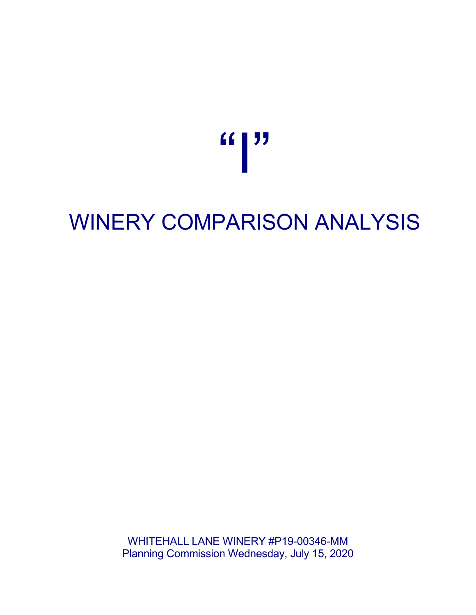"

## WINERY COMPARISON ANALYSIS

WHITEHALL LANE WINERY #P19-00346-MM Planning Commission Wednesday, July 15, 2020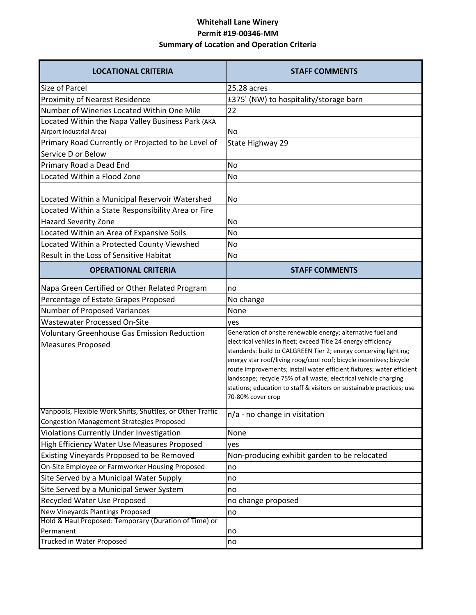## **Whitehall Lane Winery Permit #19-00346-MM Summary of Location and Operation Criteria**

| <b>LOCATIONAL CRITERIA</b>                                                                                     | <b>STAFF COMMENTS</b>                                                                                                                                                                                                                                                                                                                                                                                                                                                                                               |
|----------------------------------------------------------------------------------------------------------------|---------------------------------------------------------------------------------------------------------------------------------------------------------------------------------------------------------------------------------------------------------------------------------------------------------------------------------------------------------------------------------------------------------------------------------------------------------------------------------------------------------------------|
| Size of Parcel                                                                                                 | 25.28 acres                                                                                                                                                                                                                                                                                                                                                                                                                                                                                                         |
| <b>Proximity of Nearest Residence</b>                                                                          | ±375' (NW) to hospitality/storage barn                                                                                                                                                                                                                                                                                                                                                                                                                                                                              |
| Number of Wineries Located Within One Mile                                                                     | 22                                                                                                                                                                                                                                                                                                                                                                                                                                                                                                                  |
| Located Within the Napa Valley Business Park (AKA                                                              |                                                                                                                                                                                                                                                                                                                                                                                                                                                                                                                     |
| Airport Industrial Area)                                                                                       | No                                                                                                                                                                                                                                                                                                                                                                                                                                                                                                                  |
| Primary Road Currently or Projected to be Level of                                                             | State Highway 29                                                                                                                                                                                                                                                                                                                                                                                                                                                                                                    |
| Service D or Below                                                                                             |                                                                                                                                                                                                                                                                                                                                                                                                                                                                                                                     |
| Primary Road a Dead End                                                                                        | <b>No</b>                                                                                                                                                                                                                                                                                                                                                                                                                                                                                                           |
| Located Within a Flood Zone                                                                                    | <b>No</b>                                                                                                                                                                                                                                                                                                                                                                                                                                                                                                           |
| Located Within a Municipal Reservoir Watershed                                                                 | No                                                                                                                                                                                                                                                                                                                                                                                                                                                                                                                  |
| Located Within a State Responsibility Area or Fire                                                             |                                                                                                                                                                                                                                                                                                                                                                                                                                                                                                                     |
| <b>Hazard Severity Zone</b>                                                                                    | No                                                                                                                                                                                                                                                                                                                                                                                                                                                                                                                  |
| Located Within an Area of Expansive Soils                                                                      | <b>No</b>                                                                                                                                                                                                                                                                                                                                                                                                                                                                                                           |
| Located Within a Protected County Viewshed                                                                     | No                                                                                                                                                                                                                                                                                                                                                                                                                                                                                                                  |
| Result in the Loss of Sensitive Habitat                                                                        | No                                                                                                                                                                                                                                                                                                                                                                                                                                                                                                                  |
| <b>OPERATIONAL CRITERIA</b>                                                                                    | <b>STAFF COMMENTS</b>                                                                                                                                                                                                                                                                                                                                                                                                                                                                                               |
| Napa Green Certified or Other Related Program                                                                  | no                                                                                                                                                                                                                                                                                                                                                                                                                                                                                                                  |
| Percentage of Estate Grapes Proposed                                                                           | No change                                                                                                                                                                                                                                                                                                                                                                                                                                                                                                           |
| Number of Proposed Variances                                                                                   | None                                                                                                                                                                                                                                                                                                                                                                                                                                                                                                                |
| <b>Wastewater Processed On-Site</b>                                                                            | yes                                                                                                                                                                                                                                                                                                                                                                                                                                                                                                                 |
| <b>Voluntary Greenhouse Gas Emission Reduction</b><br><b>Measures Proposed</b>                                 | Generation of onsite renewable energy; alternative fuel and<br>electrical vehiles in fleet; exceed Title 24 energy efficiency<br>standards: build to CALGREEN Tier 2; energy concerving lighting;<br>energy star roof/living roog/cool roof; bicycle incentives; bicycle<br>route improvements; install water efficient fixtures; water efficient<br>landscape; recycle 75% of all waste; electrical vehicle charging<br>stations; education to staff & visitors on sustainable practices; use<br>70-80% cover crop |
| Vanpools, Flexible Work Shifts, Shuttles, or Other Traffic<br><b>Congestion Management Strategies Proposed</b> | n/a - no change in visitation                                                                                                                                                                                                                                                                                                                                                                                                                                                                                       |
| <b>Violations Currently Under Investigation</b>                                                                | None                                                                                                                                                                                                                                                                                                                                                                                                                                                                                                                |
| High Efficiency Water Use Measures Proposed                                                                    | yes                                                                                                                                                                                                                                                                                                                                                                                                                                                                                                                 |
| Existing Vineyards Proposed to be Removed                                                                      | Non-producing exhibit garden to be relocated                                                                                                                                                                                                                                                                                                                                                                                                                                                                        |
| On-Site Employee or Farmworker Housing Proposed                                                                | no                                                                                                                                                                                                                                                                                                                                                                                                                                                                                                                  |
| Site Served by a Municipal Water Supply                                                                        | no                                                                                                                                                                                                                                                                                                                                                                                                                                                                                                                  |
| Site Served by a Municipal Sewer System                                                                        | no                                                                                                                                                                                                                                                                                                                                                                                                                                                                                                                  |
| Recycled Water Use Proposed                                                                                    | no change proposed                                                                                                                                                                                                                                                                                                                                                                                                                                                                                                  |
| New Vineyards Plantings Proposed                                                                               | no                                                                                                                                                                                                                                                                                                                                                                                                                                                                                                                  |
| Hold & Haul Proposed: Temporary (Duration of Time) or                                                          |                                                                                                                                                                                                                                                                                                                                                                                                                                                                                                                     |
| Permanent                                                                                                      | no                                                                                                                                                                                                                                                                                                                                                                                                                                                                                                                  |
| Trucked in Water Proposed                                                                                      | no                                                                                                                                                                                                                                                                                                                                                                                                                                                                                                                  |